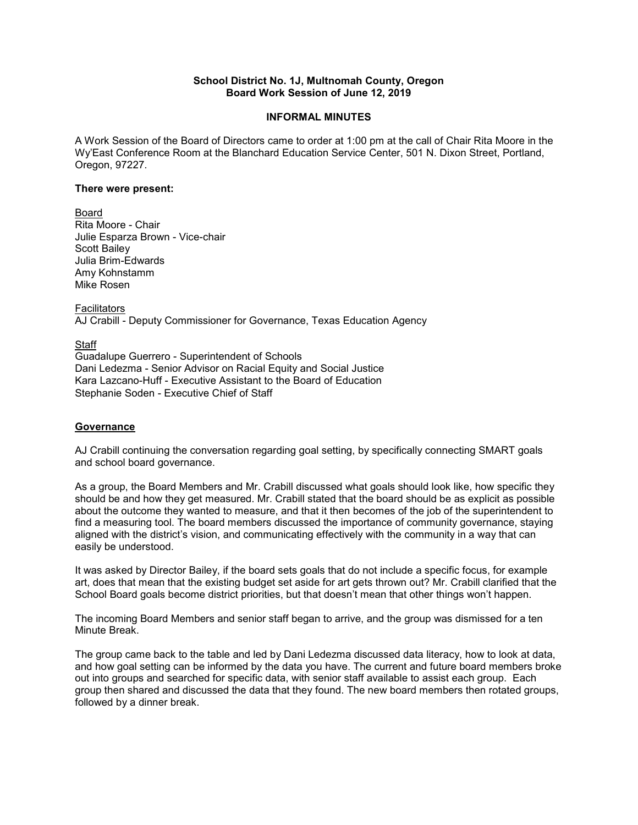## **School District No. 1J, Multnomah County, Oregon Board Work Session of June 12, 2019**

## **INFORMAL MINUTES**

A Work Session of the Board of Directors came to order at 1:00 pm at the call of Chair Rita Moore in the Wy'East Conference Room at the Blanchard Education Service Center, 501 N. Dixon Street, Portland, Oregon, 97227.

#### **There were present:**

Board Rita Moore - Chair Julie Esparza Brown - Vice-chair Scott Bailey Julia Brim-Edwards Amy Kohnstamm Mike Rosen

**Facilitators** AJ Crabill - Deputy Commissioner for Governance, Texas Education Agency

**Staff** Guadalupe Guerrero - Superintendent of Schools Dani Ledezma - Senior Advisor on Racial Equity and Social Justice Kara Lazcano-Huff - Executive Assistant to the Board of Education Stephanie Soden - Executive Chief of Staff

## **Governance**

AJ Crabill continuing the conversation regarding goal setting, by specifically connecting SMART goals and school board governance.

As a group, the Board Members and Mr. Crabill discussed what goals should look like, how specific they should be and how they get measured. Mr. Crabill stated that the board should be as explicit as possible about the outcome they wanted to measure, and that it then becomes of the job of the superintendent to find a measuring tool. The board members discussed the importance of community governance, staying aligned with the district's vision, and communicating effectively with the community in a way that can easily be understood.

It was asked by Director Bailey, if the board sets goals that do not include a specific focus, for example art, does that mean that the existing budget set aside for art gets thrown out? Mr. Crabill clarified that the School Board goals become district priorities, but that doesn't mean that other things won't happen.

The incoming Board Members and senior staff began to arrive, and the group was dismissed for a ten Minute Break.

The group came back to the table and led by Dani Ledezma discussed data literacy, how to look at data, and how goal setting can be informed by the data you have. The current and future board members broke out into groups and searched for specific data, with senior staff available to assist each group. Each group then shared and discussed the data that they found. The new board members then rotated groups, followed by a dinner break.